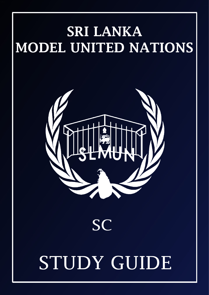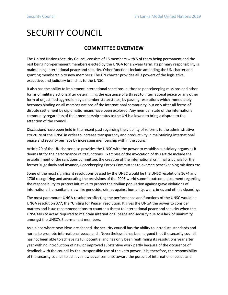# SECURITY COUNCIL

# **COMMITTEE OVERVIEW**

The United Nations Security Council consists of 15 members with 5 of them being permanent and the rest being non-permanent members elected by the UNGA for a 2-year term. Its primary responsibility is maintaining international peace and security. Other functions include amending the UN charter and granting membership to new members. The UN charter provides all 3 powers of the legislative, executive, and judiciary branches to the UNSC.

It also has the ability to implement international sanctions, authorize peacekeeping missions and other forms of military actions after determining the existence of a threat to international peace or any other form of unjustified aggression by a member state/states, by passing resolutions which immediately becomes binding on all member nations of the international community, but only after all forms of dispute settlement by diplomatic means have been explored. Any member state of the international community regardless of their membership status to the UN is allowed to bring a dispute to the attention of the council.

Discussions have been held in the recent past regarding the viability of reforms to the administrative structure of the UNSC in order to increase transparency and productivity in maintaining international peace and security perhaps by increasing membership within the council.

Article 29 of the UN charter also provides the UNSC with the power to establish subsidiary organs as it deems fit for the performance of its functions. Examples of the invocation of this article include the establishment of the sanctions committee, the creation of the international criminal tribunals for the former Yugoslavia and Rwanda, Peacekeeping Forces Committees to oversee peacekeeping missions etc.

Some of the most significant resolutions passed by the UNSC would be the UNSC resolutions 1674 and 1706 recognizing and advocating the provisions of the 2005 world summit outcome document regarding the responsibility to protect initiative to protect the civilian population against grave violations of international humanitarian law like genocide, crimes against humanity, war crimes and ethnic cleansing.

The most paramount UNGA resolution affecting the performance and functions of the UNSC would be UNGA resolution 377, the "Uniting for Peace" resolution. It gives the UNGA the power to consider matters and issue recommendations to counter a threat to international peace and security when the UNSC fails to act as required to maintain international peace and security due to a lack of unanimity amongst the UNSC's 5 permanent members.

As a place where new ideas are shaped, the security council has the ability to introduce standards and norms to promote international peace and . Nevertheless, it has been argued that the security council has not been able to achieve its full potential and has only been reaffirming its resolutions year after year with no introduction of new or improved substantive work partly because of the occurence of deadlock with the council by the irresponsible use of the veto power. It is, therefore, the responsibility of the security council to achieve new advancements toward the pursuit of international peace and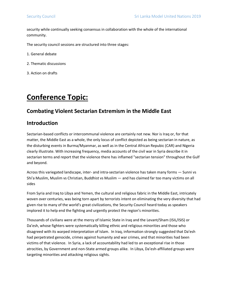security while continually seeking consensus in collaboration with the whole of the international community.

The security council sessions are structured into three stages:

1. General debate

- 2. Thematic discussions
- 3. Action on drafts

# **Conference Topic:**

### **Combating Violent Sectarian Extremism in the Middle East**

### **Introduction**

Sectarian-based conflicts or intercommunal violence are certainly not new. Nor is Iraq or, for that matter, the Middle East as a whole, the only locus of conflict depicted as being sectarian in nature, as the disturbing events in Burma/Myanmar, as well as in the Central African Repubic (CAR) and Nigeria clearly illustrate. With increasing frequency, media accounts of the civil war in Syria describe it in sectarian terms and report that the violence there has inflamed "sectarian tension" throughout the Gulf and beyond.

Across this variegated landscape, inter- and intra-sectarian violence has taken many forms — Sunni vs Shi'a Muslim, Muslim vs Christian, Buddhist vs Muslim — and has claimed far too many victims on all sides

From Syria and Iraq to Libya and Yemen, the cultural and religious fabric in the Middle East, intricately woven over centuries, was being torn apart by terrorists intent on eliminating the very diversity that had given rise to many of the world's great civilizations, the Security Council heard today as speakers implored it to help end the fighting and urgently protect the region's minorities.

Thousands of civilians were at the mercy of Islamic State in Iraq and the Levant/Sham (ISIL/ISIS) or Da'esh, whose fighters were systematically killing ethnic and religious minorities and those who disagreed with its warped interpretation of Islam. In Iraq, information strongly suggested that Da'esh had perpetrated genocide, crimes against humanity and war crimes, and that minorities had been victims of that violence. In Syria, a lack of accountability had led to an exceptional rise in those atrocities, by Government and non-State armed groups alike. In Libya, Da'esh-affiliated groups were targeting minorities and attacking religious sights.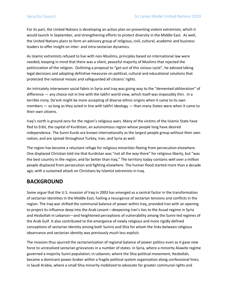For its part, the United Nations is developing an action plan on preventing violent extremism, which it would launch in September, and strengthening efforts to protect diversity in the Middle East. As well, the United Nations plans to form an advisory group of religious, civil, cultural, academic and business leaders to offer insight on inter- and intra-sectarian dynamics.

As Islamic extremists refused to live with non-Muslims, principles based on international law were needed, keeping in mind that there was a silent, peaceful majority of Muslims that rejected the politicization of the religion. Outlining a proposal to "get out of this vicious cycle", he advised taking legal decisions and adopting definitive measures on political, cultural and educational solutions that protected the national mosaic and safeguarded all citizens' rights.

An intricately interwoven social fabric in Syria and Iraq was giving way to the "demented obliteration" of difference — any choice not in line with the takfiri world view, which itself was impossibly thin. In a terrible irony, Da'esh might be more accepting of diverse ethnic origins when it came to its own members — so long as they acted in line with takfiri ideology — than many States were when it came to their own citizens.

Iraq's north is ground zero for the region's religious wars. Many of the victims of the Islamic State have fled to Erbil, the capital of Kurdistan, an autonomous region whose people long have desired independence. The Sunni Kurds are known internationally as the largest people group without their own nation, and are spread throughout Turkey, Iran, and Syria as well.

The region has become a reluctant refuge for religious minorities fleeing from persecution elsewhere. One displaced Christian told me that Kurdistan was "not all the way there" for religious liberty, but "was the best country in the region, and far better than Iraq." The territory today contains well over a million people displaced from persecution and fighting elsewhere. The human flood started more than a decade ago, with a sustained attack on Christians by Islamist extremists in Iraq.

### **BACKGROUND**

Some argue that the U.S. invasion of Iraq in 2003 has emerged as a central factor in the transformation of sectarian identities in the Middle East, fueling a resurgence of sectarian tensions and conflicts in the region. The Iraq war shifted the communal balance of power within Iraq, provided Iran with an opening to project its influence deep into the Arab Levant—deepening Iran's ties to the Assad regime in Syria and Hezbollah in Lebanon—and heightened perceptions of vulnerability among the Sunni-led regimes of the Arab Gulf. It also contributed to the emergence of newly religious and more rigidly defined conceptions of sectarian identity among both Sunnis and Shia for whom the links between religious observance and sectarian identity was previously much less explicit.

The invasion thus spurred the sectarianization of regional balance of power politics even as it gave new force to unresolved sectarian grievances in a number of states: in Syria, where a minority Alawite regime governed a majority Sunni population; in Lebanon, where the Shia political movement, Hezbollah, became a dominant power broker within a fragile political system organization along confessional lines; in Saudi Arabia, where a small Shia minority mobilized to advocate for greater communal rights and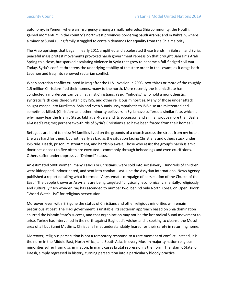autonomy; in Yemen, where an insurgency among a small, heterodox Shia community, the Houthi, gained momentum in the country's northwest provinces bordering Saudi Arabia; and in Bahrain, where a minority Sunni ruling family struggled to contain demands for equality from the Shia majority.

The Arab uprisings that began in early 2011 amplified and accelerated these trends. In Bahrain and Syria, peaceful mass protest movements provoked harsh government repression that brought Bahrain's Arab Spring to a close, but sparked escalating violence in Syria that grew to become a full-fledged civil war. Today, Syria's conflict threatens the underlying stability of the state order in the Levant, as it drags both Lebanon and Iraq into renewed sectarian conflict.

When sectarian conflict erupted in Iraq after the U.S. invasion in 2003, two-thirds or more of the roughly 1.5 million Christians fled their homes, many to the north. More recently the Islamic State has conducted a murderous campaign against Christians, Yazidi "infidels," who hold a monotheistic, syncretic faith considered Satanic by ISIS, and other religious minorities. Many of those under attack sought escape into Kurdistan. Shia and even Sunnis unsympathetic to ISIS also are mistreated and sometimes killed. (Christians and other minority believers in Syria have suffered a similar fate, which is why many fear the Islamic State, Jabhat al-Nusra and its successor, and similar groups more than Bashar al-Assad's regime; perhaps two-thirds of Syria's Christians also have been forced from their homes.)

Refugees are hard to miss: 94 families lived on the grounds of a church across the street from my hotel. Life was hard for them, but not nearly as bad as the situation facing Christians and others stuck under ISIS rule. Death, prison, mistreatment, and hardship await. Those who resist the group's harsh Islamic doctrines or seek to flee often are executed—commonly through beheadings and even crucifixions. Others suffer under oppressive "Dhimmi" status.

An estimated 5000 women, many Yazidis or Christians, were sold into sex slavery. Hundreds of children were kidnapped, indoctrinated, and sent into combat. Last June the Assyrian International News Agency published a report detailing what it termed "A systematic campaign of persecution of the Church of the East." The people known as Assyrians are being targeted "physically, economically, mentally, religiously and culturally." No wonder Iraq has ascended to number two, behind only North Korea, on Open Doors' "World Watch List" for religious persecution.

Moreover, even with ISIS gone the status of Christians and other religious minorities will remain precarious at best. The Iraqi government is unstable; its sectarian approach based on Shia domination spurred the Islamic State's success, and that organization may not be the last radical Sunni movement to arise. Turkey has intervened in the north against Baghdad's wishes and is seeking to cleanse the Mosul area of all but Sunni Muslims. Christians I met understandably feared for their safety in returning home.

Moreover, religious persecution is not a temporary response to a rare moment of conflict. Instead, it is the norm in the Middle East, North Africa, and South Asia. In every Muslim majority nation religious minorities suffer from discrimination. In many cases brutal repression is the norm. The Islamic State, or Daesh, simply regressed in history, turning persecution into a particularly bloody practice.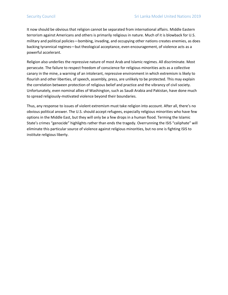It now should be obvious that religion cannot be separated from international affairs. Middle Eastern terrorism against Americans and others is primarily religious in nature. Much of it is blowback for U.S. military and political policies—bombing, invading, and occupying other nations creates enemies, as does backing tyrannical regimes—but theological acceptance, even encouragement, of violence acts as a powerful accelerant.

Religion also underlies the repressive nature of most Arab and Islamic regimes. All discriminate. Most persecute. The failure to respect freedom of conscience for religious minorities acts as a collective canary in the mine, a warning of an intolerant, repressive environment in which extremism is likely to flourish and other liberties, of speech, assembly, press, are unlikely to be protected. This may explain the correlation between protection of religious belief and practice and the vibrancy of civil society. Unfortunately, even nominal allies of Washington, such as Saudi Arabia and Pakistan, have done much to spread religiously-motivated violence beyond their boundaries.

Thus, any response to issues of violent extremism must take religion into account. After all, there's no obvious political answer. The U.S. should accept refugees, especially religious minorities who have few options in the Middle East, but they will only be a few drops in a human flood. Terming the Islamic State's crimes "genocide" highlights rather than ends the tragedy. Overrunning the ISIS "caliphate" will eliminate this particular source of violence against religious minorities, but no one is fighting ISIS to institute religious liberty.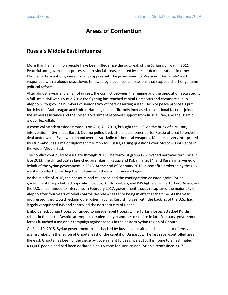# **Areas of Contention**

### **Russia's Middle East Influence**

More than half a million people have been killed since the outbreak of the Syrian civil war in 2011. Peaceful anti-government protests in provincial areas, inspired by similar demonstrations in other Middle Eastern nations, were brutally suppressed. The government of President Bashar al-Assad responded with a bloody crackdown, followed by piecemeal concessions that stopped short of genuine political reform.

After almost a year and a half of unrest, the conflict between the regime and the opposition escalated to a full-scale civil war. By mid-2012 the fighting has reached capital Damascus and commercial hub Aleppo, with growing numbers of senior army officers deserting Assad. Despite peace proposals put forth by the Arab League and United Nations, the conflict only increased as additional factions joined the armed resistance and the Syrian government received support from Russia, Iran, and the Islamic group Hezbollah.

A chemical attack outside Damascus on Aug. 21, 2013, brought the U.S. on the brink of a military intervention in Syria, but Barack Obama pulled back at the last moment after Russia offered to broker a deal under which Syria would hand over its stockpile of chemical weapons. Most observers interpreted this turn-about as a major diplomatic triumph for Russia, raising questions over Moscow's influence in the wider Middle East.

The conflict continued to escalate through 2016. The terrorist group ISIS invaded northwestern Syria in late 2013, the United States launched airstrikes in Raqqa and Kobani in 2014, and Russia intervened on behalf of the Syrian government in 2015. At the end of February 2016, a ceasefire brokered by the U.N. went into effect, providing the first pause in the conflict since it began.

By the middle of 2016, the ceasefire had collapsed and the conflagration erupted again. Syrian government troops battled opposition troops, Kurdish rebels, and ISIS fighters, while Turkey, Russia, and the U.S. all continued to intervene. In February 2017, government troops recaptured the major city of Aleppo after four years of rebel control, despite a ceasefire being in effect at the time. As the year progressed, they would reclaim other cities in Syria. Kurdish forces, with the backing of the U.S., had largely vanquished ISIS and controlled the northern city of Raqqa.

Emboldened, Syrian troops continued to pursue rebel troops, while Turkish forces attacked Kurdish rebels in the north. Despite attempts to implement yet another ceasefire in late February, government forces launched a major air campaign against rebels in the eastern Syrian region of Ghouta.

On Feb. 19, 2018, Syrian government troops backed by Russian aircraft launched a major offensive against rebels in the region of Ghouta, east of the capital of Damascus. The last rebel-controlled area in the east, Ghouta has been under siege by government forces since 2013. It is home to an estimated 400,000 people and had been declared a no-fly zone for Russian and Syrian aircraft since 2017.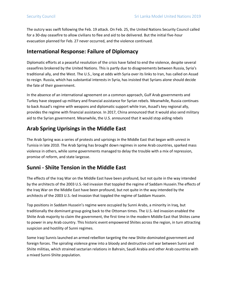The outcry was swift following the Feb. 19 attack. On Feb. 25, the United Nations Security Council called for a 30-day ceasefire to allow civilians to flee and aid to be delivered. But the initial five-hour evacuation planned for Feb. 27 never occurred, and the violence continued.

### **International Response: Failure of Diplomacy**

Diplomatic efforts at a peaceful resolution of the crisis have failed to end the violence, despite several ceasefires brokered by the United Nations. This is partly due to disagreements between Russia, Syria's traditional ally, and the West. The U.S., long at odds with Syria over its links to Iran, has called on Assad to resign. Russia, which has substantial interests in Syria, has insisted that Syrians alone should decide the fate of their government.

In the absence of an international agreement on a common approach, Gulf Arab governments and Turkey have stepped up military and financial assistance for Syrian rebels. Meanwhile, Russia continues to back Assad's regime with weapons and diplomatic support while Iran, Assad's key regional ally, provides the regime with financial assistance. In 2017, China announced that it would also send military aid to the Syrian government. Meanwhile, the U.S. announced that it would stop aiding rebels

# **Arab Spring Uprisings in the Middle East**

The Arab Spring was a series of protests and uprisings in the Middle East that began with unrest in Tunisia in late 2010. The Arab Spring has brought down regimes in some Arab countries, sparked mass violence in others, while some governments managed to delay the trouble with a mix of repression, promise of reform, and state largesse.

## **Sunni - Shiite Tension in the Middle East**

The effects of the Iraq War on the Middle East have been profound, but not quite in the way intended by the architects of the 2003 U.S.-led invasion that toppled the regime of Saddam Hussein.The effects of the Iraq War on the Middle East have been profound, but not quite in the way intended by the architects of the 2003 U.S.-led invasion that toppled the regime of Saddam Hussein.

Top positions in Saddam Hussein's regime were occupied by Sunni Arabs, a minority in Iraq, but traditionally the dominant group going back to the Ottoman times. The U.S.-led invasion enabled the Shiite Arab majority to claim the government, the first time in the modern Middle East that Shiites came to power in any Arab country. This historic event empowered Shiites across the region, in turn attracting suspicion and hostility of Sunni regimes.

Some Iraqi Sunnis launched an armed rebellion targeting the new Shiite-dominated government and foreign forces. The spiraling violence grew into a bloody and destructive civil war between Sunni and Shiite militias, which strained sectarian relations in Bahrain, Saudi Arabia and other Arab countries with a mixed Sunni-Shiite population.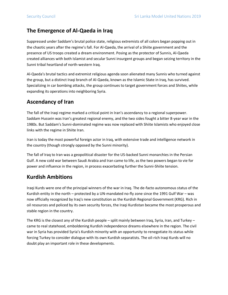## **The Emergence of Al-Qaeda in Iraq**

Suppressed under Saddam's brutal police state, religious extremists of all colors began popping out in the chaotic years after the regime's fall. For Al-Qaeda, the arrival of a Shiite government and the presence of US troops created a dream environment. Posing as the protector of Sunnis, Al-Qaeda created alliances with both Islamist and secular Sunni insurgent groups and began seizing territory in the Sunni tribal heartland of north-western Iraq.

Al-Qaeda's brutal tactics and extremist religious agenda soon alienated many Sunnis who turned against the group, but a distinct Iraqi branch of Al-Qaeda, known as the Islamic State in Iraq, has survived. Specializing in car bombing attacks, the group continues to target government forces and Shiites, while expanding its operations into neighboring Syria.

## **Ascendancy of Iran**

The fall of the Iraqi regime marked a critical point in Iran's ascendancy to a regional superpower. Saddam Hussein was Iran's greatest regional enemy, and the two sides fought a bitter 8-year war in the 1980s. But Saddam's Sunni-dominated regime was now replaced with Shiite Islamists who enjoyed close links with the regime in Shiite Iran.

Iran is today the most powerful foreign actor in Iraq, with extensive trade and intelligence network in the country (though strongly opposed by the Sunni minority).

The fall of Iraq to Iran was a geopolitical disaster for the US-backed Sunni monarchies in the Persian Gulf. A new cold war between Saudi Arabia and Iran came to life, as the two powers began to vie for power and influence in the region, in process exacerbating further the Sunni-Shiite tension.

## **Kurdish Ambitions**

Iraqi Kurds were one of the principal winners of the war in Iraq. The de-facto autonomous status of the Kurdish entity in the north – protected by a UN-mandated no-fly zone since the 1991 Gulf War – was now officially recognized by Iraq's new constitution as the Kurdish Regional Government (KRG). Rich in oil resources and policed by its own security forces, the Iraqi Kurdistan became the most prosperous and stable region in the country.

The KRG is the closest any of the Kurdish people – split mainly between Iraq, Syria, Iran, and Turkey – came to real statehood, emboldening Kurdish independence dreams elsewhere in the region. The civil war in Syria has provided Syria's Kurdish minority with an opportunity to renegotiate its status while forcing Turkey to consider dialogue with its own Kurdish separatists. The oil-rich Iraqi Kurds will no doubt play an important role in these developments.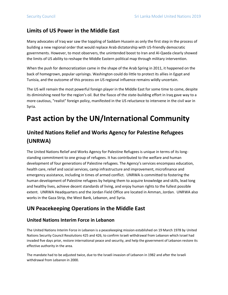## **Limits of US Power in the Middle East**

Many advocates of Iraq war saw the toppling of Saddam Hussein as only the first step in the process of building a new regional order that would replace Arab dictatorship with US-friendly democratic governments. However, to most observers, the unintended boost to Iran and Al-Qaeda clearly showed the limits of US ability to reshape the Middle Eastern political map through military intervention.

When the push for democratization came in the shape of the Arab Spring in 2011, it happened on the back of homegrown, popular uprisings. Washington could do little to protect its allies in Egypt and Tunisia, and the outcome of this process on US regional influence remains wildly uncertain.

The US will remain the most powerful foreign player in the Middle East for some time to come, despite its diminishing need for the region's oil. But the fiasco of the state-building effort in Iraq gave way to a more cautious, "realist" foreign policy, manifested in the US reluctance to intervene in the civil war in Syria.

# **Past action by the UN/International Community**

# **United Nations Relief and Works Agency for Palestine Refugees (UNRWA)**

The United Nations Relief and Works Agency for Palestine Refugees is unique in terms of its longstanding commitment to one group of refugees. It has contributed to the welfare and human development of four generations of Palestine refugees. The Agency's services encompass education, health care, relief and social services, camp infrastructure and improvement, microfinance and emergency assistance, including in times of armed conflict. UNRWA is committed to fostering the human development of Palestine refugees by helping them to acquire knowledge and skills, lead long and healthy lives, achieve decent standards of living, and enjoy human rights to the fullest possible extent. UNRWA Headquarters and the Jordan Field Office are located in Amman, Jordan. UNRWA also works in the Gaza Strip, the West Bank, Lebanon, and Syria.

## **UN Peacekeeping Operations in the Middle East**

### **United Nations Interim Force in Lebanon**

The United Nations Interim Force in Lebanon is a peacekeeping mission established on 19 March 1978 by United Nations Security Council Resolutions 425 and 426, to confirm Israeli withdrawal from Lebanon which Israel had invaded five days prior, restore international peace and security, and help the government of Lebanon restore its effective authority in the area.

The mandate had to be adjusted twice, due to the Israeli invasion of Lebanon in 1982 and after the Israeli withdrawal from Lebanon in 2000.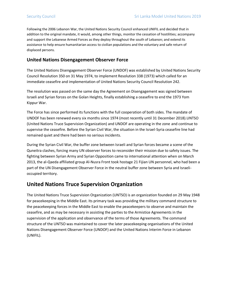Following the 2006 Lebanon War, the United Nations Security Council enhanced UNIFIL and decided that in addition to the original mandate, it would, among other things, monitor the cessation of hostilities; accompany and support the Lebanese Armed Forces as they deploy throughout the south of Lebanon; and extend its assistance to help ensure humanitarian access to civilian populations and the voluntary and safe return of displaced persons.

### **United Nations Disengagement Observer Force**

The United Nations Disengagement Observer Force (UNDOF) was established by United Nations Security Council Resolution 350 on 31 May 1974, to implement Resolution 338 (1973) which called for an immediate ceasefire and implementation of United Nations Security Council Resolution 242.

The resolution was passed on the same day the Agreement on Disengagement was signed between Israeli and Syrian forces on the Golan Heights, finally establishing a ceasefire to end the 1973 Yom Kippur War.

The Force has since performed its functions with the full cooperation of both sides. The mandate of UNDOF has been renewed every six months since 1974 (most recently until 31 December 2018).UNTSO (United Nations Truce Supervision Organization) and UNDOF are operating in the zone and continue to supervise the ceasefire. Before the Syrian Civil War, the situation in the Israel-Syria ceasefire line had remained quiet and there had been no serious incidents.

During the Syrian Civil War, the buffer zone between Israeli and Syrian forces became a scene of the Quneitra clashes, forcing many UN observer forces to reconsider their mission due to safety issues. The fighting between Syrian Army and Syrian Opposition came to international attention when on March 2013, the al-Qaeda affiliated group Al-Nusra Front took hostage 21 Fijian UN personnel, who had been a part of the UN Disengagement Observer Force in the neutral buffer zone between Syria and Israelioccupied territory.

### **United Nations Truce Supervision Organization**

The United Nations Truce Supervision Organization (UNTSO) is an organization founded on 29 May 1948 for peacekeeping in the Middle East. Its primary task was providing the military command structure to the peacekeeping forces in the Middle East to enable the peacekeepers to observe and maintain the ceasefire, and as may be necessary in assisting the parties to the Armistice Agreements in the supervision of the application and observance of the terms of those Agreements. The command structure of the UNTSO was maintained to cover the later peacekeeping organisations of the United Nations Disengagement Observer Force (UNDOF) and the United Nations Interim Force in Lebanon (UNIFIL).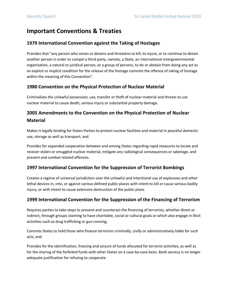# **Important Conventions & Treaties**

### **1979 International Convention against the Taking of Hostages**

Provides that "any person who seizes or detains and threatens to kill, to injure, or to continue to detain another person in order to compel a third party, namely, a State, an international intergovernmental organization, a natural or juridical person, or a group of persons, to do or abstain from doing any act as an explicit or implicit condition for the release of the hostage commits the offence of taking of hostage within the meaning of this Convention".

### **1980 Convention on the Physical Protection of Nuclear Material**

Criminalizes the unlawful possession, use, transfer or theft of nuclear material and threats to use nuclear material to cause death, serious injury or substantial property damage.

### **2005 Amendments to the Convention on the Physical Protection of Nuclear Material**

Makes it legally binding for States Parties to protect nuclear facilities and material in peaceful domestic use, storage as well as transport; and

Provides for expanded cooperation between and among States regarding rapid measures to locate and recover stolen or smuggled nuclear material, mitigate any radiological consequences or sabotage, and prevent and combat related offences.

### **1997 International Convention for the Suppression of Terrorist Bombings**

Creates a regime of universal jurisdiction over the unlawful and intentional use of explosives and other lethal devices in, into, or against various defined public places with intent to kill or cause serious bodily injury, or with intent to cause extensive destruction of the public place.

### **1999 International Convention for the Suppression of the Financing of Terrorism**

Requires parties to take steps to prevent and counteract the financing of terrorists, whether direct or indirect, through groups claiming to have charitable, social or cultural goals or which also engage in illicit activities such as drug trafficking or gun running;

Commits States to hold those who finance terrorism criminally, civilly or administratively liable for such acts; and

Provides for the identification, freezing and seizure of funds allocated for terrorist activities, as well as for the sharing of the forfeited funds with other States on a case-by-case basis. Bank secrecy is no longer adequate justification for refusing to cooperate.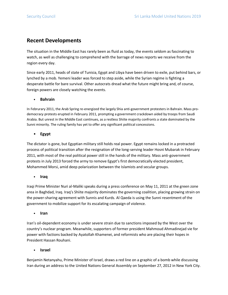### **Recent Developments**

The situation in the Middle East has rarely been as fluid as today, the events seldom as fascinating to watch, as well as challenging to comprehend with the barrage of news reports we receive from the region every day.

Since early 2011, heads of state of Tunisia, Egypt and Libya have been driven to exile, put behind bars, or lynched by a mob. Yemeni leader was forced to step aside, while the Syrian regime is fighting a desperate battle for bare survival. Other autocrats dread what the future might bring and, of course, foreign powers are closely watching the events.

#### • **Bahrain**

In Februrary 2011, the Arab Spring re-energized the largely Shia anti-government protesters in Bahrain. Mass prodemocracy protests erupted in February 2011, prompting a government crackdown aided by troops from Saudi Arabia. But unrest in the Middle East continues, as a restless Shiite majority confronts a state dominated by the Sunni minority. The ruling family has yet to offer any significant political concessions.

#### • **Egypt**

The dictator is gone, but Egyptian military still holds real power. Egypt remains locked in a protracted process of political transition after the resignation of the long-serving leader Hosni Mubarak in February 2011, with most of the real political power still in the hands of the military. Mass anti-government protests in July 2013 forced the army to remove Egypt's first democratically elected president, Mohammed Morsi, amid deep polarization between the Islamists and secular groups.

#### • **Iraq**

Iraqi Prime Minister Nuri al-Maliki speaks during a press conference on May 11, 2011 at the green zone area in Baghdad, Iraq. Iraq's Shiite majority dominates the governing coalition, placing growing strain on the power-sharing agreement with Sunnis and Kurds. Al Qaeda is using the Sunni resentment of the government to mobilize support for its escalating campaign of violence.

• **Iran** 

Iran's oil-dependent economy is under severe strain due to sanctions imposed by the West over the country's nuclear program. Meanwhile, supporters of former president Mahmoud Ahmadinejad vie for power with factions backed by Ayatollah Khamenei, and reformists who are placing their hopes in President Hassan Rouhani.

#### • **Israel**

Benjamin Netanyahu, Prime Minister of Israel, draws a red line on a graphic of a bomb while discussing Iran during an address to the United Nations General Assembly on September 27, 2012 in New York City.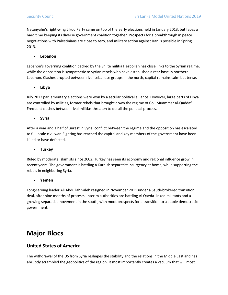Netanyahu's right-wing Likud Party came on top of the early elections held in January 2013, but faces a hard time keeping its diverse government coalition together. Prospects for a breakthrough in peace negotiations with Palestinians are close to zero, and military action against Iran is possible in Spring 2013.

#### • **Lebanon**

Lebanon's governing coalition backed by the Shiite militia Hezbollah has close links to the Syrian regime, while the opposition is sympathetic to Syrian rebels who have established a rear base in northern Lebanon. Clashes erupted between rival Lebanese groups in the north, capital remains calm but tense.

#### • **Libya**

July 2012 parliamentary elections were won by a secular political alliance. However, large parts of Libya are controlled by militias, former rebels that brought down the regime of Col. Muammar al-Qaddafi. Frequent clashes between rival militias threaten to derail the political process.

• **Syria** 

After a year and a half of unrest in Syria, conflict between the regime and the opposition has escalated to full-scale civil war. Fighting has reached the capital and key members of the government have been killed or have defected.

#### • **Turkey**

Ruled by moderate Islamists since 2002, Turkey has seen its economy and regional influence grow in recent years. The government is battling a Kurdish separatist insurgency at home, while supporting the rebels in neighboring Syria.

#### • **Yemen**

Long-serving leader Ali Abdullah Saleh resigned in November 2011 under a Saudi-brokered transition deal, after nine months of protests. Interim authorities are battling Al Qaeda-linked militants and a growing separatist movement in the south, with moot prospects for a transition to a stable democratic government.

# **Major Blocs**

### **United States of America**

The withdrawal of the US from Syria reshapes the stability and the relations in the Middle East and has abruptly scrambled the geopolitics of the region. It most importantly creates a vacuum that will most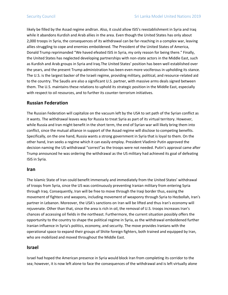likely be filled by the Assad regime andIran. Also, it could allow ISIS's reestablishment in Syria and Iraq while it abandons Kurdish and Arab allies in the area. Even though the United States has only about 2,000 troops in Syria, the consequences of its withdrawal can be far-reaching in a complex war, leaving allies struggling to cope and enemies emboldened. The President of the United States of America, Donald Trump reprimanded "We haved efeated ISIS in Syria, my only reason for being there." Finally, the United States has neglected developing partnerships with non-state actors in the Middle East, such as Kurdish and Arab groups in Syria and Iraq.The United States' position has been well established over the years, and the present Trump administration has been even more vociferous in upholding its stance. The U.S. is the largest backer of the Israeli regime, providing military, political, and resource-related aid to the country. The Saudis are also a significant U.S. partner, with massive arms deals signed between them. The U.S. maintains these relations to uphold its strategic position in the Middle East, especially with respect to oil resources, and to further its counter-terrorism initiatives.

### **Russian Federation**

The Russian Federation will capitalize on the vacuum left by the USA to set path of the Syrian conflict as it wants. The withdrawal leaves way for Russia to treat Syria as part of its virtual territory. However, while Russia and Iran might benefit in the short term, the end of Syrian war will likely bring them into conflict, since the mutual alliance in support of the Assad regime will disclose to competing benefits. Specifically, on the one hand, Russia wants a strong government in Syria that is loyal to them. On the other hand, Iran seeks a regime which it can easily employ. President Vladimir Putin approved the decision naming the US withdrawal "correct"as the troops were not needed. Putin's approval came after Trump announced he was ordering the withdrawal as the US military had achieved its goal of defeating ISIS in Syria.

#### **Iran**

The Islamic State of Iran could benefit immensely and immediately from the United States' withdrawal of troops from Syria, since the US was continuously preventing Iranian military from entering Syria through Iraq. Consequently, Iran will be free to move through the Iraqi border thus, easing the movement of fighters and weapons, including movement of weaponry through Syria to Hezbollah, Iran's partner in Lebanon. Moreover, the USA's sanctions on Iran will be lifted and thus Iran's economy will rejuvenate. Other than that, since the area is rich in oil, the removal of U.S. troops increases Iran's chances of accessing oil fields in the northeast. Furthermore, the current situation possibly offers the opportunity to the country to shape the political regime in Syria, as the withdrawal emboldened further Iranian influence in Syria's politics, economy, and security. The move provides Iranians with the operational space to expand their groups of Shiite foreign fighters, both trained and equipped by Iran, who are mobilized and moved throughout the Middle East.

#### **Israel**

Israel had hoped the American presence in Syria would block Iran from completing its corridor to the sea; however, it is now left alone to face the consequences of the withdrawal and is left virtually alone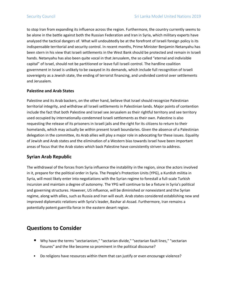to stop Iran from expanding its influence across the region. Furthermore, the country currently seems to be alone in the battle against both the Russian Federation and Iran in Syria, which military experts have analyzed the tactical dangers of. What will undoubtedly be at the forefront of Israeli foreign policy is its indispensable territorial and security control. In recent months, Prime Minister Benjamin Netanyahu has been stern in his view that Israeli settlements in the West Bank should be protected and remain in Israeli hands. Netanyahu has also been quite vocal in that Jerusalem, the so called "eternal and indivisible capital" of Israel, should not be partitioned or leave full Israeli control. The hardline coalition government in Israel is unlikely to be swayed in its demands, which include full recognition of Israeli sovereignty as a Jewish state, the ending of terrorist financing, and undivided control over settlements and Jerusalem.

#### **Palestine and Arab States**

Palestine and its Arab backers, on the other hand, believe that Israel should recognize Palestinian territorial integrity, and withdraw all Israeli settlements in Palestinian lands. Major points of contention include the fact that both Palestine and Israel see Jerusalem as their rightful territory and see territory used occupied by internationally-condemned Israeli settlements as their own. Palestine is also requesting the release of its prisoners in Israeli jails and the right for its citizens to return to their homelands, which may actually be within present Israeli boundaries. Given the absence of a Palestinian delegation in the committee, its Arab allies will play a major role in advocating for these issues. Equality of Jewish and Arab states and the elimination of a Western bias towards Israel have been important areas of focus that the Arab states which back Palestine have consistently striven to address.

### **Syrian Arab Republic**

The withdrawal of the forces from Syria influence the instability in the region, since the actors involved in it, prepare for the political order in Syria. The People's Protection Units (YPG), a Kurdish militia in Syria, will most likely enter into negotiations with the Syrian regime to forestall a full-scale Turkish incursion and maintain a degree of autonomy. The YPG will continue to be a fixture in Syria's political and governing structures. However, US influence, will be diminished or nonexistent and the Syrian regime, along with allies, such as Russia and Iran will exult. Arab states considered establishing new and improved diplomatic relations with Syria's leader, Bashar al-Assad. Furthermore, Iran remains a potentially potent guerrilla force in the eastern desert region.

### **Questions to Consider**

- Why have the terms "sectarianism," "sectarian divide," "sectarian fault lines," "sectarian fissures" and the like become so prominent in the political discourse?
- Do religions have resources within them that can justify or even encourage violence?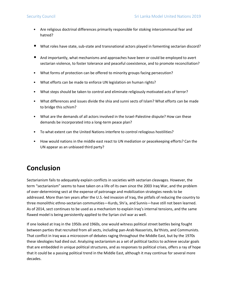- Are religious doctrinal differences primarily responsible for stoking intercommunal fear and hatred?
- What roles have state, sub-state and transnational actors played in fomenting sectarian discord?
- And importantly, what mechanisms and approaches have been or could be employed to avert sectarian violence, to foster tolerance and peaceful coexistence, and to promote reconciliation?
- What forms of protection can be offered to minority groups facing persecution?
- What efforts can be made to enforce UN legislation on human rights?
- What steps should be taken to control and eliminate religiously motivated acts of terror?
- What differences and issues divide the shia and sunni sects of Islam? What efforts can be made to bridge this schism?
- What are the demands of all actors involved in the Israel-Palestine dispute? How can these demands be incorporated into a long-term peace plan?
- To what extent can the United Nations interfere to control reliogious hostilities?
- How would nations in the middle east react to UN mediation or peacekeeping efforts? Can the UN appear as an unbiased third party?

# **Conclusion**

Sectarianism fails to adequately explain conflicts in societies with sectarian cleavages. However, the term "sectarianism" seems to have taken on a life of its own since the 2003 Iraq War, and the problem of over-determining sect at the expense of patronage and mobilization strategies needs to be addressed. More than ten years after the U.S.-led invasion of Iraq, the pitfalls of reducing the country to three monolithic ethno-sectarian communities—Kurds, Shi'a, and Sunnis—have still not been learned. As of 2014, sect continues to be used as a mechanism to explain Iraq's internal tensions, and the same flawed model is being persistently applied to the Syrian civil war as well.

If one looked at Iraq in the 1950s and 1960s, one would witness political street battles being fought between parties that recruited from all sects, including pan-Arab Nasserists, Ba'thists, and Communists. That conflict in Iraq was a microcosm of debates raging throughout the Middle East, but by the 1970s these ideologies had died out. Analyzing sectarianism as a set of political tactics to achieve secular goals that are embedded in unique political structures, and as responses to political crises, offers a ray of hope that it could be a passing political trend in the Middle East, although it may continue for several more decades.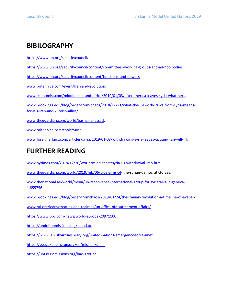# **BIBILOGRAPHY**

<https://www.un.org/securitycouncil/>

<https://www.un.org/securitycouncil/content/committees-working-groups-and-ad-hoc-bodies>

<https://www.un.org/securitycouncil/content/functions-and-powers>

[www.britannica.com/event/Iranian-Revolution.](http://www.britannica.com/event/Iranian-Revolution)

[www.economist.com/middle-east-and-africa/2019/01/03/afteramerica-leaves-syria-what-next.](http://www.economist.com/middle-east-and-africa/2019/01/03/afteramerica-leaves-syria-what-next)

[www.brookings.edu/blog/order-from-chaos/2018/12/21/what-the-u-s-withdrawalfrom-syria-means](http://www.brookings.edu/blog/order-from-chaos/2018/12/21/what-the-u-s-withdrawalfrom-syria-means-for-isis-iran-and-kurdish-allies/)[for-isis-iran-and-kurdish-allies/.](http://www.brookings.edu/blog/order-from-chaos/2018/12/21/what-the-u-s-withdrawalfrom-syria-means-for-isis-iran-and-kurdish-allies/)

[www.theguardian.com/world/bashar-al-assad.](http://www.theguardian.com/world/bashar-al-assad)

[www.britannica.com/topic/Sunni.](http://www.britannica.com/topic/Sunni)

[www.foreignaffairs.com/articles/syria/2019-01-08/withdrawing-syria-leavesvacuum-iran-will-fill.](http://www.foreignaffairs.com/articles/syria/2019-01-08/withdrawing-syria-leavesvacuum-iran-will-fill)

# **FURTHER READING**

[www.nytimes.com/2018/12/20/world/middleeast/syria-us-withdrawal-iran.html.](http://www.nytimes.com/2018/12/20/world/middleeast/syria-us-withdrawal-iran.html)

[www.theguardian.com/world/2019/feb/06/true-aims-of-](http://www.theguardian.com/world/2019/feb/06/true-aims-of) the-syrian-democraticforces.

[www.thenational.ae/world/mena/un-reconvenes-international-group-for-syriatalks-in-geneva-](http://www.thenational.ae/world/mena/un-reconvenes-international-group-for-syriatalks-in-geneva-1.855756)[1.855756.](http://www.thenational.ae/world/mena/un-reconvenes-international-group-for-syriatalks-in-geneva-1.855756)

[www.brookings.edu/blog/order-fromchaos/2019/01/24/the-iranian-revolution-a-timeline-of-events/.](http://www.brookings.edu/blog/order-fromchaos/2019/01/24/the-iranian-revolution-a-timeline-of-events/)

[www.nti.org/learn/treaties-and-regimes/un-office-ofdisarmament-affairs/.](http://www.nti.org/learn/treaties-and-regimes/un-office-ofdisarmament-affairs/)

[https://www.bbc.com/news/world-europe-20971100.](https://www.bbc.com/news/world-europe-20971100)

<https://undof.unmissions.org/mandate>

<https://www.jewishvirtuallibrary.org/united-nations-emergency-force-unef>

<https://peacekeeping.un.org/en/mission/unifil>

<https://untso.unmissions.org/background>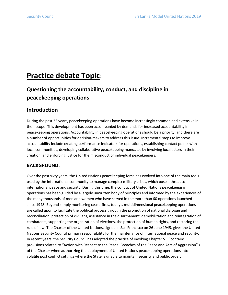# **Practice debate Topic**:

# **Questioning the accountability, conduct, and discipline in peacekeeping operations**

## **Introduction**

During the past 25 years, peacekeeping operations have become increasingly common and extensive in their scope. This development has been accompanied by demands for increased accountability in peacekeeping operations. Accountability in peacekeeping operations should be a priority, and there are a number of opportunities for decision-makers to address this issue. Incremental steps to improve accountability include creating performance indicators for operations, establishing contact points with local communities, developing collaborative peacekeeping mandates by involving local actors in their creation, and enforcing justice for the misconduct of individual peacekeepers.

### **BACKGROUND:**

Over the past sixty years, the United Nations peacekeeping force has evolved into one of the main tools used by the international community to manage complex military crises, which pose a threat to international peace and security. During this time, the conduct of United Nations peacekeeping operations has been guided by a largely unwritten body of principles and informed by the experiences of the many thousands of men and women who have served in the more than 60 operations launched since 1948. Beyond simply monitoring cease-fires, today's multidimensional peacekeeping operations are called upon to facilitate the political process through the promotion of national dialogue and reconciliation, protection of civilians, assistance in the disarmament, demobilization and reintegration of combatants, supporting the organization of elections, the protection of human rights, and restoring the rule of law. The Charter of the United Nations, signed in San Francisco on 26 June 1945, gives the United Nations Security Council primary responsibility for the maintenance of international peace and security. In recent years, the Security Council has adopted the practice of invoking Chapter VII ( contains provisions related to "Action with Respect to the Peace, Breaches of the Peace and Acts of Aggression" ) of the Charter when authorizing the deployment of United Nations peacekeeping operations into volatile post conflict settings where the State is unable to maintain security and public order.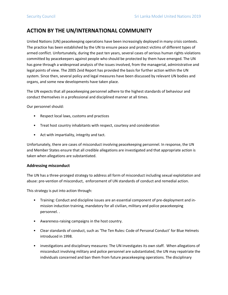### **ACTION BY THE UN/INTERNATIONAL COMMUNITY**

United Nations (UN) peacekeeping operations have been increasingly deployed in many crisis contexts. The practice has been established by the UN to ensure peace and protect victims of different types of armed conflict. Unfortunately, during the past ten years, several cases of serious human rights violations committed by peacekeepers against people who should be protected by them have emerged. The UN has gone through a widespread analysis of the issues involved, from the managerial, administrative and legal points of view. The 2005 Zeid Report has provided the basis for further action within the UN system. Since then, several policy and legal measures have been discussed by relevant UN bodies and organs, and some new developments have taken place.

The UN expects that all peacekeeping personnel adhere to the highest standards of behaviour and conduct themselves in a professional and disciplined manner at all times.

Our personnel should:

- Respect local laws, customs and practices
- Treat host country inhabitants with respect, courtesy and consideration
- Act with impartiality, integrity and tact.

Unfortunately, there are cases of misconduct involving peacekeeping personnel. In response, the UN and Member States ensure that all credible allegations are investigated and that appropriate action is taken when allegations are substantiated.

#### **Addressing misconduct**

The UN has a three-pronged strategy to address all form of misconduct including sexual exploitation and abuse: pre-vention of misconduct, enforcement of UN standards of conduct and remedial action.

This strategy is put into action through:

- Training: Conduct and discipline issues are an essential component of pre-deployment and inmission induction training, mandatory for all civilian, military and police peacekeeping personnel. .
- Awareness-raising campaigns in the host country.
- Clear standards of conduct, such as 'The Ten Rules: Code of Personal Conduct' for Blue Helmets introduced in 1998.
- investigations and disciplinary measures: The UN investigates its own staff. When allegations of misconduct involving military and police personnel are substantiated, the UN may repatriate the individuals concerned and ban them from future peacekeeping operations. The disciplinary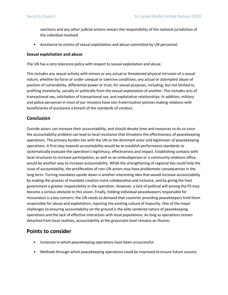sanctions and any other judicial actions remain the responsibility of the national jurisdiction of the individual involved.

• Assistance to victims of sexual exploitation and abuse committed by UN personnel.

#### **Sexual exploitation and abuse**

The UN has a zero tolerance policy with respect to sexual exploitation and abuse.

This includes any sexual activity with minors or any actual or threatened physical intrusion of a sexual nature, whether by force or under unequal or coercive conditions; any actual or attempted abuse of position of vulnerability, differential power or trust, for sexual purposes, including, but not limited to, profiting monetarily, socially or politically from the sexual exploitation of another. This includes acts of transactional sex, solicitation of transactional sex, and exploitative relationships. In addition, military and police personnel in most of our missions have non-fraternization policies making relations with beneficiaries of assistance a breach of the standards of conduct.

### **Conclusion**

Outside actors can increase their accountability, and should devote time and resources to do so since the accountability problem can lead to local resistance that threatens the effectiveness of peacekeeping operations. The primary burden lies with the UN as the dominant actor and legitimizer of peacekeeping operations. A first step towards accountability would be to establish performance standards to systematically evaluate the operation's legitimacy, effectiveness and impact. Establishing contacts with local structures to increase participation, as well as an ombudsperson or a community relations office, would be another way to increase accountability. While the strengthening of regional ties could help the issue of accountability, the proliferation of non-UN actors may have problematic consequences in the long term. Turning mandates upside down is another interesting idea that would increase accountability by making the process of mandate creation more collaborative and inclusive, and by giving the host government a greater responsibility in the operation. However, a lack of political will among the P5 may become a serious obstacle to this vision. Finally, holding individual peacekeepers responsible for misconduct is a key concern; the UN needs to demand that countries providing peacekeepers hold them responsible for abuse and exploitation, rejecting the existing culture of impunity. One of the major challenges to ensuring accountability on the ground is the elite-centered nature of peacekeeping operations and the lack of effective interaction with local populations. As long as operations remain detached from local realities, accountability at the grassroots level remains an illusion.

### **Points to consider**

- Instances in which peacekeeping operations have been unsuccessful
- Methods through which peacekeeping operations could be improved to ensure future success.